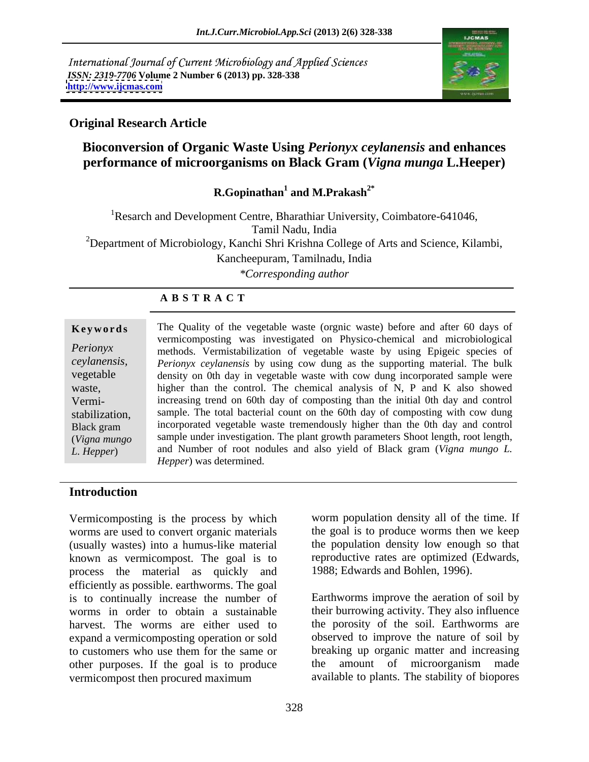International Journal of Current Microbiology and Applied Sciences *ISSN: 2319-7706* **Volume 2 Number 6 (2013) pp. 328-338 <http://www.ijcmas.com>**



# **Original Research Article**

# **Bioconversion of Organic Waste Using** *Perionyx ceylanensis* **and enhances performance of microorganisms on Black Gram (***Vigna munga* **L.Heeper)**

**R.Gopinathan<sup>1</sup> and M.Prakash2\***

<sup>1</sup>Resarch and Development Centre, Bharathiar University, Coimbatore-641046, Tamil Nadu, India <sup>2</sup>Department of Microbiology, Kanchi Shri Krishna College of Arts and Science, Kilambi, Kancheepuram, Tamilnadu, India

*\*Corresponding author* 

# **A B S T R A C T**

**Keywords** The Quality of the vegetable waste (orgnic waste) before and after 60 days of *Perionyx* methods. Vermistabilization of vegetable waste by using Epigeic species of *ceylanensis, Perionyx ceylanensis* by using cow dung as thesupporting material. The bulk vegetable density on 0th day in vegetable waste with cow dung incorporated sample were waste, higher than the control. The chemical analysis of N, P and K also showed Vermi- increasing trend on 60th day of composting than the initial 0th day and control stabilization, sample. The total bacterial count on the 60th day of composting with cow dung Black gram incorporated vegetable waste tremendously higher than the 0th day and control (*Vigna mungo*  sample under investigation. The plant growth parameters Shoot length, root length, *L. Hepper*) and Number of root nodules and also yield of Black gram (*Vigna mungo L.* vermicomposting was investigated on Physico-chemical and microbiological *Hepper*) was determined.

### **Introduction**

Vermicomposting is the process by which worms are used to convert organic materials (usually wastes) into a humus-like material known as vermicompost. The goal is to process the material as quickly and efficiently as possible. earthworms. The goal is to continually increase the number of worms in order to obtain a sustainable harvest. The worms are either used to the porosity of the soil. Earthworms are expand a vermicomposting operation or sold to customers who use them for the same or other purposes. If the goal is to produce vermicompost then procured maximum available to plants. The stability of biopores

worm population density all of the time. If the goal is to produce worms then we keep the population density low enough so that reproductive rates are optimized (Edwards, 1988; Edwards and Bohlen, 1996).

Earthworms improve the aeration of soil by their burrowing activity. They also influence observed to improve the nature of soil by breaking up organic matter and increasing the amount of microorganism made available to plants. The stability of biopores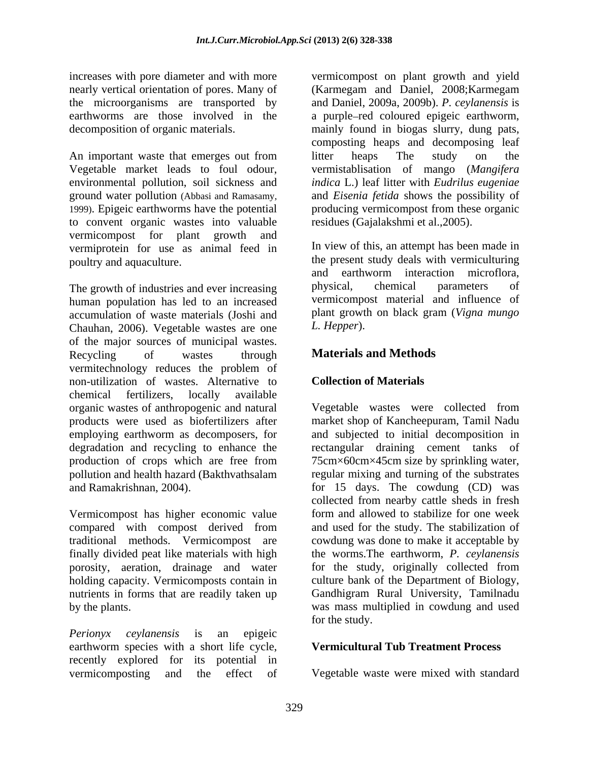An important waste that emerges out from litter heaps The study on the Vegetable market leads to foul odour, vermistablisation of mango (*Mangifera*  environmental pollution, soil sickness and *indica* L.) leaf litter with *Eudrilus eugeniae* ground water pollution (Abbasi and Ramasamy, and *Eisenia fetida* shows the possibility of 1999). Epigeic earthworms have the potential producing vermicompost from these organic to convent organic wastes into valuable vermicompost for plant growth and vermiprotein for use as animal feed in poultry and aquaculture. The present study deals with vermiculturing

human population has led to an increased accumulation of waste materials (Joshi and plant growt<br>Chauban 2006) Vegetable wastes are one L. Hepper). Chauhan, 2006). Vegetable wastes are one of the major sources of municipal wastes.<br>Recycling of wastes through **Materials and Methods** Recycling of wastes through **Materials and Methods** vermitechnology reduces the problem of non-utilization of wastes. Alternative to chemical fertilizers, locally available organic wastes of anthropogenic and natural Vegetable wastes were collected from products were used as biofertilizers after market shop of Kancheepuram, Tamil Nadu employing earthworm as decomposers, for and subjected to initial decomposition in degradation and recycling to enhance the production of crops which are free from 75cm×60cm×45cm size by sprinkling water, pollution and health hazard (Bakthvathsalam regular mixing and turning of the substrates

Vermicompost has higher economic value nutrients in forms that are readily taken up

*Perionyx ceylanensis* is an epigeic earthworm species with a short life cycle, recently explored for its potential in vermicomposting and the effect of Vegetable waste were mixed with standard

increases with pore diameter and with more vermicompost on plant growth and yield nearly vertical orientation of pores. Many of (Karmegam and Daniel, 2008;Karmegam the microorganisms are transported by and Daniel, 2009a, 2009b). *P. ceylanensis* is earthworms are those involved in the a purple-red coloured epigeic earthworm, decomposition of organic materials. mainly found in biogas slurry, dung pats, composting heaps and decomposing leaf litter heaps The study on the residues (Gajalakshmi et al.,2005).

The growth of industries and ever increasing bhysical, chemical parameters of In view of this, an attempt has been made in and earthworm interaction microflora, physical, chemical parameters of vermicompost material and influence of plant growth on black gram (*Vigna mungo L. Hepper*).

# **Materials and Methods**

### **Collection of Materials**

and Ramakrishnan, 2004). for 15 days. The cowdung (CD) was compared with compost derived from and used for the study. The stabilization of traditional methods. Vermicompost are cowdung was done to make it acceptable by finally divided peat like materials with high the worms.The earthworm, *P. ceylanensis* porosity, aeration, drainage and water for the study, originally collected from holding capacity. Vermicomposts contain in culture bank of the Department of Biology, by the plants. was mass multiplied in cowdung and used rectangular draining cement tanks of collected from nearby cattle sheds in fresh form and allowed to stabilize for one week Gandhigram Rural University, Tamilnadu for the study.

### **Vermicultural Tub Treatment Process**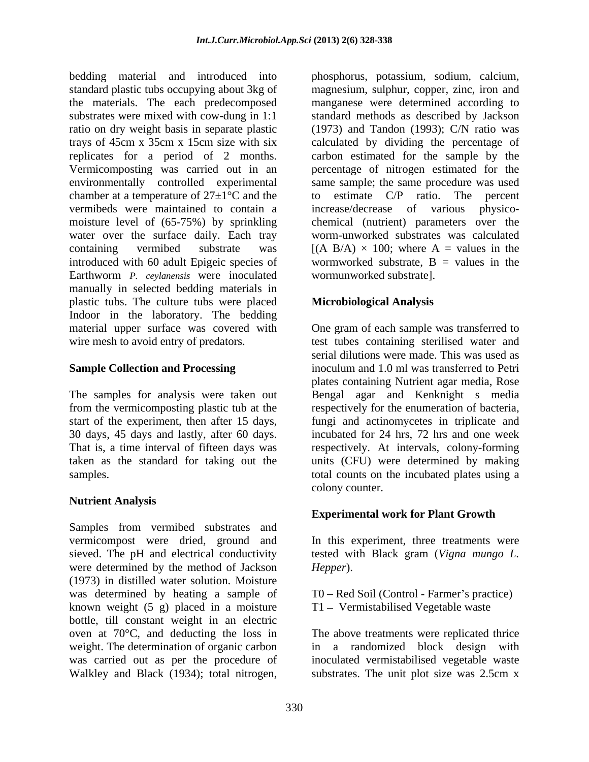bedding material and introduced into phosphorus, potassium, sodium, calcium, standard plastic tubs occupying about 3kg of magnesium, sulphur, copper, zinc, iron and the materials. The each predecomposed substrates were mixed with cow-dung in 1:1 standard methods as described by Jackson ratio on dry weight basis in separate plastic (1973) and Tandon (1993); C/N ratio was trays of 45cm x 35cm x 15cm size with six calculated by dividing the percentage of replicates for a period of 2 months. carbon estimated for the sample by the Vermicomposting was carried out in an percentage of nitrogen estimated for the environmentally controlled experimental same sample; the same procedure was used chamber at a temperature of  $27 \pm 1$ °C and the to estimate C/P ratio. The percent vermibeds were maintained to contain a moisture level of (65-75%) by sprinkling chemical (nutrient) parameters over the water over the surface daily. Each tray worm-unworked substrates was calculated containing vermibed substrate was  $[(A \ B/A) \times 100]$ ; where A = values in the introduced with 60 adult Epigeic species of Earthworm *P. ceylanensis* were inoculated manually in selected bedding materials in plastic tubs. The culture tubs were placed Indoor in the laboratory. The bedding material upper surface was covered with wire mesh to avoid entry of predators. test tubes containing sterilised water and

# **Nutrient Analysis**

Samples from vermibed substrates and vermicompost were dried, ground and sieved. The pH and electrical conductivity were determined by the method of Jackson Hepper). (1973) in distilled water solution. Moisture was determined by heating a sample of known weight (5 g) placed in a moisture bottle, till constant weight in an electric oven at 70°C, and deducting the loss in The above treatments were replicated thrice weight. The determination of organic carbon in a randomized block design with was carried out as per the procedure of inoculated vermistabilised vegetable waste Walkley and Black (1934); total nitrogen, substrates. The unit plot size was 2.5cm x

manganese were determined according to to estimate C/P ratio. The percent increase/decrease of various physico wormworked substrate,  $B =$  values in the wormunworked substrate].

# **Microbiological Analysis**

**Sample Collection and Processing** The samples for analysiswere taken out Bengal agar and Kenknight s media from the vermicomposting plastic tub at the respectively for the enumeration of bacteria, start of the experiment, then after 15 days, fungi and actinomycetes in triplicate and 30 days, 45 days and lastly, after 60 days. incubated for 24 hrs, 72 hrs and one week That is, a time interval of fifteen days was respectively. At intervals, colony-forming taken as the standard for taking out the units (CFU) were determined by making samples. total counts on the incubated plates using a One gram of each sample was transferred to serial dilutions were made. This was used as inoculum and 1.0 ml was transferred to Petri plates containing Nutrient agar media, Rose colony counter.

### **Experimental work for Plant Growth**

In this experiment, three treatments were tested with Black gram (*Vigna mungo L. Hepper*).

T0 – Red Soil (Control - Farmer's practice)  $T1 -$  Vermistabilised Vegetable waste

substrates. The unit plot size was 2.5cm x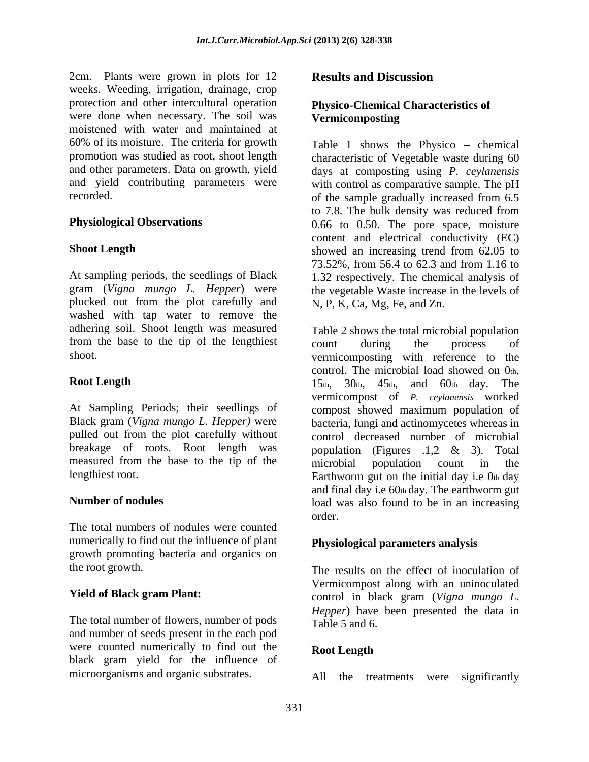2cm. Plants were grown in plots for 12 **Results and Discussion** weeks. Weeding, irrigation, drainage, crop protection and other intercultural operation were done when necessary. The soil was **Vermicomposting** moistened with water and maintained at 60% of its moisture. The criteria for growth

plucked out from the plot carefully and washed with tap water to remove the adhering soil. Shoot length was measured from the base to the tip of the lengthiest count during the process of

measured from the base to the tip of the microbial population count in the

The total numbers of nodules were counted numerically to find out the influence of plant growth promoting bacteria and organics on

The total number of flowers, number of pods Table 5 and 6. and number of seeds present in the each pod were counted numerically to find out the Root Length black gram yield for the influence of microorganisms and organic substrates. All the treatments were significantly

### **Results and Discussion**

### **Physico-Chemical Characteristics of Vermicomposting**

promotion was studied as root, shoot length characteristic of Vegetable waste during 60 and other parameters. Data on growth, yield days at composting using *P. ceylanensis* and yield contributing parameters were with control as comparative sample. The pH recorded. of the sample gradually increased from 6.5 **Physiological Observations** 0.66 to 0.50. The pore space, moisture **Shoot Length** showed an increasing trend from 62.05 to At sampling periods, the seedlings of Black 1.32 respectively. The chemical analysis of gram (*Vigna mungo L. Hepper*) were the vegetable Waste increase in the levels of Table 1 shows the Physico  $-$  chemical to 7.8. The bulk density was reduced from content and electrical conductivity (EC) showed an increasing trend from 62.05 to 73.52%, from 56.4 to 62.3 and from 1.16 to N, P, K, Ca, Mg, Fe, and Zn.

shoot. vermicomposting with reference to the **Root Length** 20th,  $\frac{15 \text{th}}{15 \text{th}}$ ,  $\frac{30 \text{th}}{45 \text{th}}$ , and  $\frac{60 \text{th}}{15 \text{th}}$  and  $\frac{15 \text{th}}{15 \text{th}}$  and  $\frac{15 \text{th}}{15 \text{th}}$  and  $\frac{15 \text{th}}{15 \text{th}}$  and  $\frac{15 \text{th}}{15 \text{th}}$  and  $\frac{15 \text{th}}{15 \text{th}}$  and  $\frac{$ At Sampling Periods; their seedlings of compost showed maximum population of Black gram (*Vigna mungo L. Hepper)* were bacteria, fungi and actinomycetes whereas in pulled out from the plot carefully without control decreased number of microbial breakage of roots. Root length was population (Figures .1,2 & 3). Total lengthiest root. Earthworm gut on the initial day i.e 0th day **Number of nodules load** was also found to be in an increasing Table 2 shows the total microbial population count during the process of control. The microbial load showed on  $0<sub>th</sub>$ ,<br>15th, 30th, 45th, and 60th day. The vermicompost of *P. ceylanensis* worked microbial population count in the and final day i.e 60th day. The earthworm gut order.

# **Physiological parameters analysis**

the root growth. The results on the effect of inoculation of **Yield of Black gram Plant:**<br>
control in black gram (*Vigna mungo L.* Vermicompost along with an uninoculated *Hepper*) have been presented the data in Table 5 and 6.

### **Root Length**

All the treatments were significantly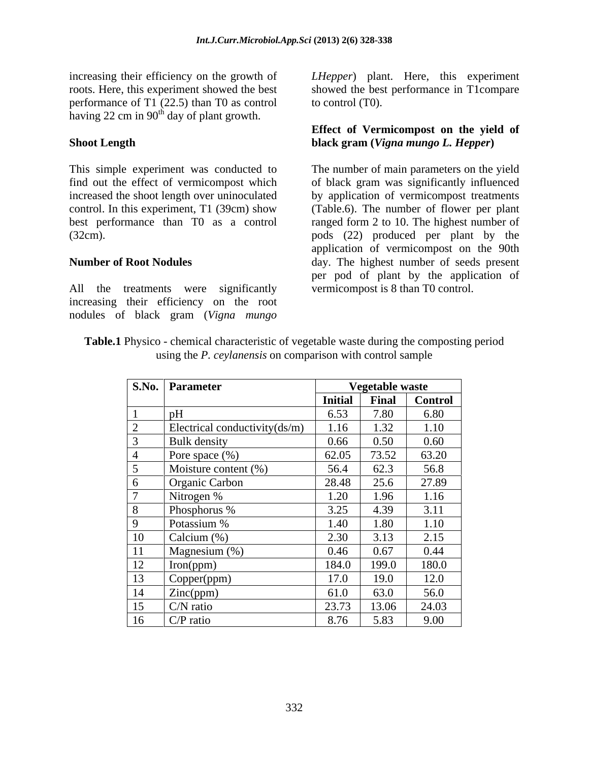performance of T1 (22.5) than T0 as control having 22 cm in  $90<sup>th</sup>$  day of plant growth.

All the treatments were significantly increasing their efficiency on the root nodules of black gram (*Vigna mungo*

increasing their efficiency on the growth of LHepper) plant. Here, this experiment roots. Here, this experiment showed the best showed the best performance in T1compare to control (T0).

### **Shoot Length black gram (***Vigna mungo L. Hepper***) Effect of Vermicompost on the yield of**

This simple experiment was conducted to The number of main parameters on the yield find out the effect of vermicompost which of black gram was significantly influenced increased the shoot length over uninoculated by application of vermicompost treatments control. In this experiment, T1 (39cm) show (Table.6). The number of flower per plant best performance than T0 as a control ranged form 2 to 10. The highest number of (32cm). pods (22) produced per plant by the **Number of Root Nodules**  day. The highest number of seeds present application of vermicompost on the 90th per pod of plant by the application of vermicompost is 8 than T0 control.

| <b>Table.1</b> Physico - chemical characteristic of vegetable waste during the composting period |
|--------------------------------------------------------------------------------------------------|
| <i>vlanensis</i> on comparison with control sample<br>using the l                                |

|          | S.No. Parameter               |                | Vegetable waste        |                |
|----------|-------------------------------|----------------|------------------------|----------------|
|          |                               | <b>Initial</b> | Final                  | <b>Control</b> |
|          |                               | 6.53           | 7.80                   | 6.80           |
|          | Electrical conductivity(ds/m) | 1.16           | $\overline{22}$<br>.32 | 1.10           |
|          | <b>Bulk</b> density           | 0.66           | 0.50                   | 0.60           |
|          | Pore space $(\%)$             | 62.05          | 73.52                  | 63.20          |
|          | Moisture content $(\%)$       | 56.4           | 62.3                   | 56.8           |
|          | Organic Carbon                | 28.48          | 25.6                   | 27.89          |
|          | Nitrogen %                    | 1.20           | .96                    | 1.16           |
|          | Phosphorus %                  | 3.25           | 4.39                   | 3.11           |
|          | Potassium %                   | 1.40           | .80                    | 1.10           |
| 10       | Calcium (%)                   | 2.30           | 313                    | 2.15           |
|          | Magnesium (%)                 | 0.46           | 0.67                   | 0.44           |
| 12       | Iron(ppm)                     | 184.0          | 199.0                  | 180.0          |
| 12<br>13 | Copper(ppm)                   | 17.0           | 19.0                   | 12.0           |
| 14       | Zinc(ppm)                     | 61.0           | 63.0                   | 56.0           |
| 15       | $C/N$ ratio                   | 23.73          | 13.06                  | 24.03          |
| 16       | $C/P$ ratio                   | 8.76           | 5.83                   | 9.00           |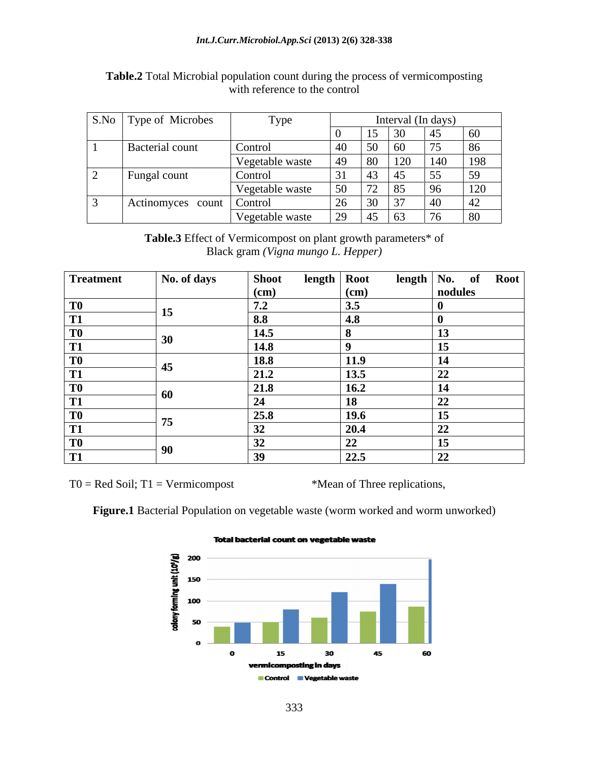| S.No   Type of Microbes | Type            |                                               |                           |            | Interval (In days) |     |
|-------------------------|-----------------|-----------------------------------------------|---------------------------|------------|--------------------|-----|
|                         |                 |                                               | 15<br>$\overline{1}$      | $\sim$     | 45                 | 60  |
| Bacterial count         | Control         |                                               | $50^{\circ}$              | 1 R.C      | 75                 | 86  |
|                         | Vegetable waste |                                               | 80                        | 120        | 140                | 198 |
| Fungal count            | Control         | 31                                            | 43                        | $\Delta$ 5 | 55                 | 59  |
|                         | Vegetable waste | 50                                            | 72<br>$\sqrt{2}$          | 185        | 96                 | 120 |
| Actinomyces count       | Control         | ZO.                                           | $\Omega$<br>$\cup$ $\cup$ | $\sim$     | $\sqrt{40}$        | 42  |
|                         | Vegetable waste | $\gamma$ <sup><math>\alpha</math></sup><br>رے | 45                        | 63         | $\overline{z}$     | 80  |

### **Table.2** Total Microbial population count during the process of vermicomposting with reference to the control

**Table.3** Effect of Vermicompost on plant growth parameters\* of Black gram *(Vigna mungo L. Hepper)*

| <b>Treatment</b> | No. of days                   | <b>Shoot</b>            | length   Root     | length $\vert$ No. of |          | <b>Root</b> |
|------------------|-------------------------------|-------------------------|-------------------|-----------------------|----------|-------------|
|                  |                               | (cm)                    | $\epsilon$ (cm)   |                       | nodules  |             |
| T <sub>0</sub>   |                               | 7.2<br>$\overline{1}$ . | 3.5               |                       |          |             |
| T <sub>1</sub>   | ▴◡                            | $\vert 8.8 \vert$       | $\vert 4.8 \vert$ |                       |          |             |
| T <sub>0</sub>   |                               | 14.5                    |                   |                       |          |             |
| T <sub>1</sub>   | $\bm{\omega} \bm{\mathsf{v}}$ | 14.8                    |                   |                       | - -      |             |
| T <sub>0</sub>   |                               | <u>18.8</u>             | 11.9              |                       | 14       |             |
| T <sub>1</sub>   |                               | 21.2                    | 13.5              |                       | 22       |             |
| T <sub>0</sub>   |                               | 21.8                    | 16.2              |                       | 14       |             |
| <b>T1</b>        | 60                            |                         | 18                |                       | 44       |             |
| T <sub>0</sub>   | --                            | 25.8                    | 19.6              |                       | 15       |             |
| <b>T1</b>        |                               |                         | 20.4              |                       | 22<br>◢◢ |             |
| T <sub>0</sub>   |                               |                         | 22                |                       | --       |             |
| <b>T1</b>        |                               |                         | 22.5              |                       | 22       |             |

 $T0 = Red Soil; T1 = Vermicompost$  \*Mean of Three replications,

**Figure.1** Bacterial Population on vegetable waste (worm worked and worm unworked)



### **Total bacterial count on vegetable waste**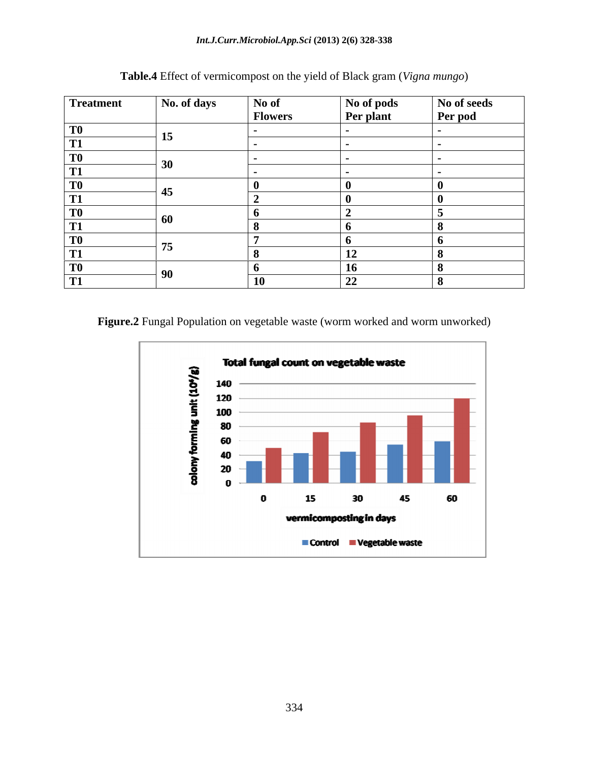| Treatment                 | No. of days | No of<br><b>Flowers</b> | No of pods<br><b>Per plant</b> | No of seeds<br>Per pod |
|---------------------------|-------------|-------------------------|--------------------------------|------------------------|
| T <sub>0</sub>            |             |                         |                                |                        |
| $\boxed{1}$               | -12         |                         |                                |                        |
| T <sub>0</sub>            | 30          |                         |                                |                        |
| <b>T1</b>                 |             |                         |                                |                        |
| T <sub>0</sub>            |             |                         |                                |                        |
| T1                        |             |                         |                                |                        |
| T <sub>0</sub>            |             |                         |                                |                        |
| T <sub>1</sub>            | 60          |                         |                                |                        |
| T <sub>0</sub>            | --          |                         |                                |                        |
| $\boxed{1}$               | 75          |                         | 12                             |                        |
| T <sub>0</sub>            |             |                         | 16                             |                        |
| <b>T1</b><br>$\mathbf{I}$ | УU          |                         | 22                             |                        |

**Table.4** Effect of vermicompost on the yield of Black gram (*Vigna mungo*)

Figure.2 Fungal Population on vegetable waste (worm worked and worm unworked)

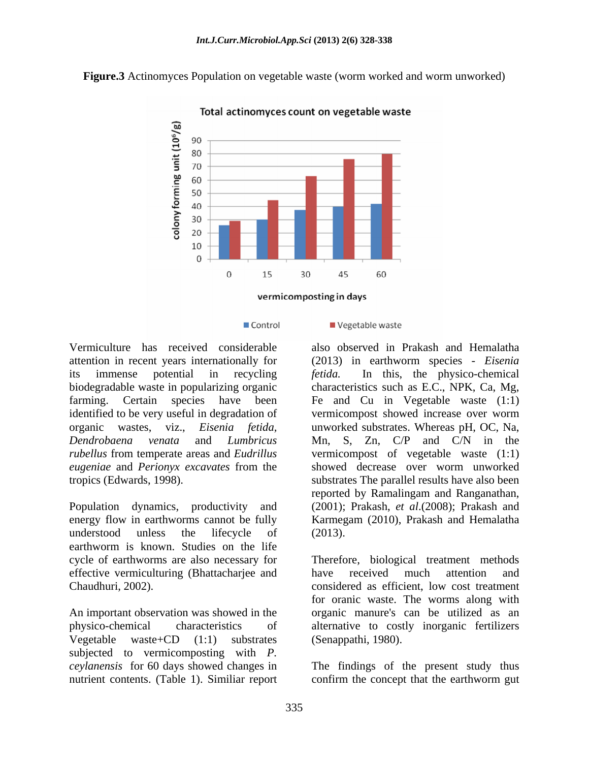**Figure.3** Actinomyces Population on vegetable waste (worm worked and worm unworked)



Total actinomyces count on vegetable waste

Control

Vermiculture has received considerable also observed in Prakash and Hemalatha attention in recent years internationally for (2013) in earthworm species - *Eisenia*  its immense potential in recycling fetida. biodegradable waste in popularizing organic characteristics such as E.C., NPK, Ca, Mg, farming. Certain species have been Fe and Cu in Vegetable waste (1:1) identified to be very useful in degradation of vermicompost showed increase over worm organic wastes, viz., *Eisenia fetida,* unworked substrates. Whereas pH, OC, Na, *Dendrobaena venata* and *Lumbricus*  Mn, S, Zn, C/P and C/N in the *rubellus* from temperate areas and *Eudrillus*  vermicompost of vegetable waste (1:1) *eugeniae* and *Perionyx excavates* from the

Population dynamics, productivity and (2001); Prakash, *et al*.(2008); Prakash and energy flow in earthworms cannot be fully Karmegam (2010), Prakash and Hemalatha understood unless the lifecycle of (2013). earthworm is known. Studies on the life cycle of earthworms are also necessary for Therefore, biological treatment methods effective vermiculturing (Bhattacharjee and have received much attention and Chaudhuri, 2002). considered as efficient, low cost treatment

Vegetable waste+CD (1:1) substrates subjected to vermicomposting with *P. ceylanensis* for 60 days showed changes in The findings of the present study thus nutrient contents. (Table 1). Similiar report confirm the concept that the earthworm gut

### Vegetable waste

tropics (Edwards, 1998). substrates The parallel results have also been In this, the physico-chemical vermicompost showed increase over worm showed decrease over worm unworked reported by Ramalingam and Ranganathan, (2013).

An important observation was showed in the organic manure's can be utilized as an physico-chemical characteristics of alternative to costly inorganic fertilizers have received much attention and for oranic waste. The worms along with (Senappathi, 1980).

confirm the concept that the earthworm gut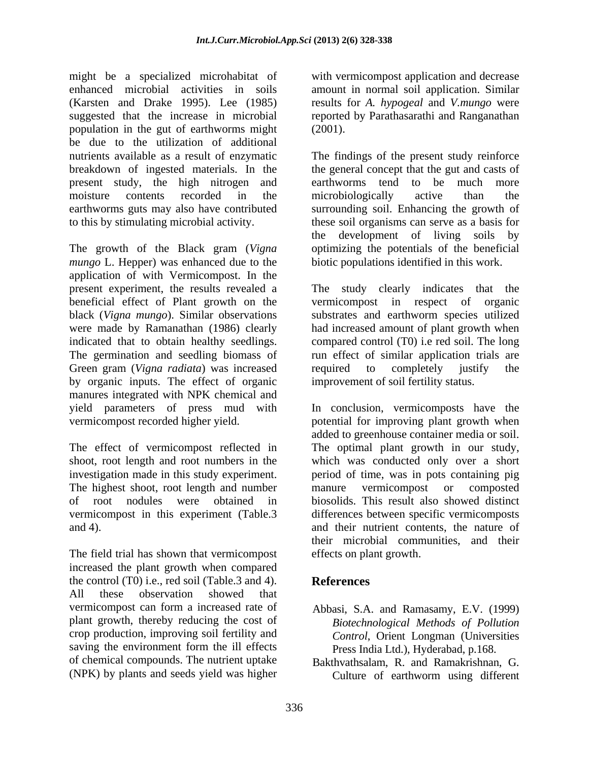might be a specialized microhabitat of with vermicompost application and decrease enhanced microbial activities in soils amount in normal soil application. Similar (Karsten and Drake 1995). Lee (1985) results for *A. hypogeal* and *V.mungo* were suggested that the increase in microbial reported by Parathasarathi and Ranganathan population in the gut of earthworms might be due to the utilization of additional

The growth of the Black gram (*Vigna mungo* L. Hepper) was enhanced due to the application of with Vermicompost. In the Green gram (*Vigna radiata*) was increased required to completely justify the by organic inputs. The effect of organic manures integrated with NPK chemical and

The highest shoot, root length and number manure vermicompost or composted

The field trial has shown that vermicompost increased the plant growth when compared the control (T0) i.e., red soil (Table.3 and 4). All these observation showed that vermicompost can form a increased rate of Abbasi, S.A. and Ramasamy, E.V. (1999) plant growth, thereby reducing the cost of crop production, improving soil fertility and saving the environment form the ill effects of chemical compounds. The nutrient uptake Bakthvathsalam, R. and Ramakrishnan, G.

(2001).

nutrients available as a result of enzymatic The findings of the present study reinforce breakdown of ingested materials. In the the general concept that the gut and casts of present study, the high nitrogen and earthworms tend to be much more moisture contents recorded in the microbiologically active than the earthworms guts may also have contributed surrounding soil. Enhancing the growth of to this by stimulating microbial activity. these soil organisms can serve as a basis for microbiologically active than the the development of living soils by optimizing the potentials of the beneficial biotic populations identified in this work.

present experiment, the results revealed a The study clearly indicates that the beneficial effect of Plant growth on the vermicompost in respect of organic black (*Vigna mungo*). Similar observations substrates and earthworm species utilized were made by Ramanathan (1986) clearly had increased amount of plant growth when indicated that to obtain healthy seedlings. compared control (T0) i.e red soil. The long The germination and seedling biomass of run effect of similar application trials are required to completely justify the improvement of soil fertility status.

yield parameters of press mud with In conclusion, vermicomposts have the vermicompost recorded higher yield. potential for improving plant growth when The effect of vermicompost reflected in The optimal plant growth in our study, shoot, root length and root numbers in the which was conducted only over a short investigation made in this study experiment. period of time, was in pots containing pig of root nodules were obtained in biosolids. This result also showed distinct vermicompost in this experiment (Table.3 differences between specific vermicomposts and 4). and their nutrient contents, the nature of added to greenhouse container media or soil. manure vermicompost or composted their microbial communities, and their effects on plant growth.

# **References**

- *Biotechnological Methods of Pollution Control*, Orient Longman (Universities Press India Ltd.), Hyderabad, p.168.
- (NPK) by plants and seeds yield was higher Culture of earthworm using different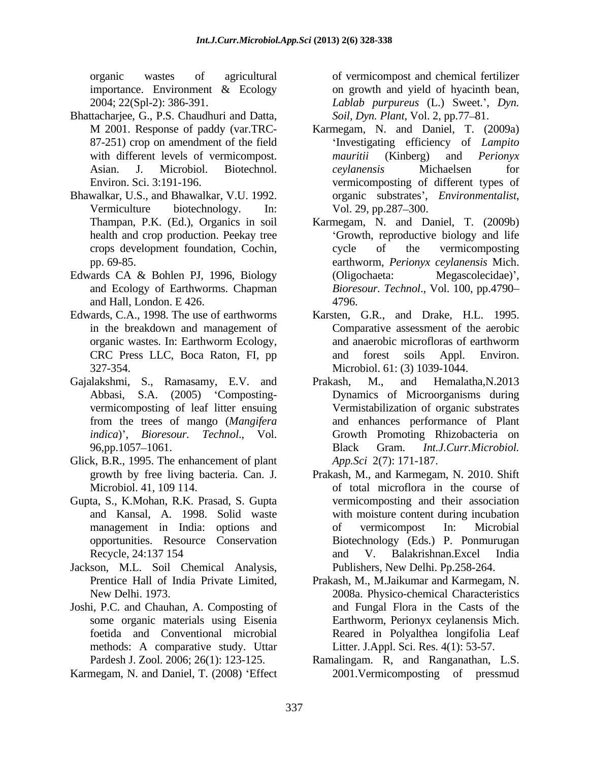- Bhattacharjee, G., P.S. Chaudhuri and Datta, 87-251) crop on amendment of the field
- Bhawalkar, U.S., and Bhawalkar, V.U. 1992.
- Edwards CA & Bohlen PJ, 1996, Biology (Oligochaeta: Megascolecidae)', and Ecology of Earthworms. Chapman and Hall, London. E 426.
- 
- Gajalakshmi, S., Ramasamy, E.V. and Prakash, M., and Hemalatha, N.2013 vermicomposting of leaf litter ensuing
- Glick, B.R., 1995. The enhancement of plant
- Gupta, S., K.Mohan, R.K. Prasad, S. Gupta
- Jackson, M.L. Soil Chemical Analysis,
- Joshi, P.C. and Chauhan, A. Composting of methods: A comparative study. Uttar
- Karmegam, N. and Daniel, T. (2008) 'Effect

organic wastes of agricultural of vermicompost and chemical fertilizer importance. Environment & Ecology on growth and yield of hyacinth bean, 2004; 22(Spl-2): 386-391. *Lablab purpureus* (L.) Sweet. , *Dyn. Soil, Dyn. Plant, Vol. 2, pp.77–81.* 

- M 2001. Response of paddy (var.TRC with different levels of vermicompost. *mauritii* (Kinberg) and *Perionyx* Asian. J. Microbiol. Biotechnol. *ceylanensis* Michaelsen for Environ. Sci. 3:191-196. vermicomposting of different types of Vermiculture biotechnology. In: Vol. 29, pp.287–300. Karmegam, N. and Daniel, T. (2009a) Investigating efficiency of *Lampito mauritii* (Kinberg) and *Perionyx ceylanensis* Michaelsen for organic substrates', *Environmentalist*,<br>Vol. 29, pp.287–300.
- Thampan, P.K. (Ed.), Organics in soil Karmegam, N. and Daniel, T. (2009b) health and crop production. Peekay tree Growth, reproductive biology and life crops development foundation, Cochin, pp. 69-85. earthworm, *Perionyx ceylanensis* Mich. cycle of the vermicomposting (Oligochaeta: Megascolecidae)', *Bioresour. Technol*., Vol. 100, pp.4790 4796.
- Edwards, C.A., 1998. The use of earthworms Karsten, G.R., and Drake, H.L. 1995. in the breakdown and management of Comparative assessment of the aerobic organic wastes. In: Earthworm Ecology, CRC Press LLC, Boca Raton, FI, pp 327-354. Microbiol. 61: (3) 1039-1044. and anaerobic microfloras of earthworm and forest soils Appl. Environ.
	- Abbasi, S.A. (2005) Composting- Dynamics of Microorganisms during from the trees of mango (*Mangifera*  and enhances performance of Plant *indica*) , *Bioresour. Technol*., Vol. Growth Promoting Rhizobacteria on 96,pp.1057 1061. Prakash, M., and Hemalatha,N.2013 Vermistabilization of organic substrates Black Gram. *Int.J.Curr.Microbiol. App.Sci* 2(7): 171-187.
	- growth by free living bacteria. Can. J. Prakash, M., and Karmegam, N. 2010. Shift Microbiol. 41, 109 114. of total microflora in the course of and Kansal, A. 1998. Solid waste with moisture content during incubation management in India: options and of vermicompost In: Microbial opportunities. Resource Conservation Biotechnology (Eds.) P. Ponmurugan Recycle, 24:137 154 and V. Balakrishnan. Excel India vermicomposting and their association of vermicompost In: Microbial and V. Balakrishnan.Excel India Publishers, New Delhi. Pp.258-264.
	- Prentice Hall of India Private Limited, Prakash, M., M.Jaikumar and Karmegam, N. New Delhi. 1973. 2008a. Physico-chemical Characteristics some organic materials using Eisenia Earthworm, Perionyx ceylanensis Mich. foetida and Conventional microbial Reared in Polyalthea longifolia Leaf and Fungal Flora in the Casts of the Litter. J.Appl. Sci. Res. 4(1): 53-57.
	- Pardesh J. Zool. 2006; 26(1): 123-125. Ramalingam. R, and Ranganathan, L.S. 2001.Vermicomposting of pressmud